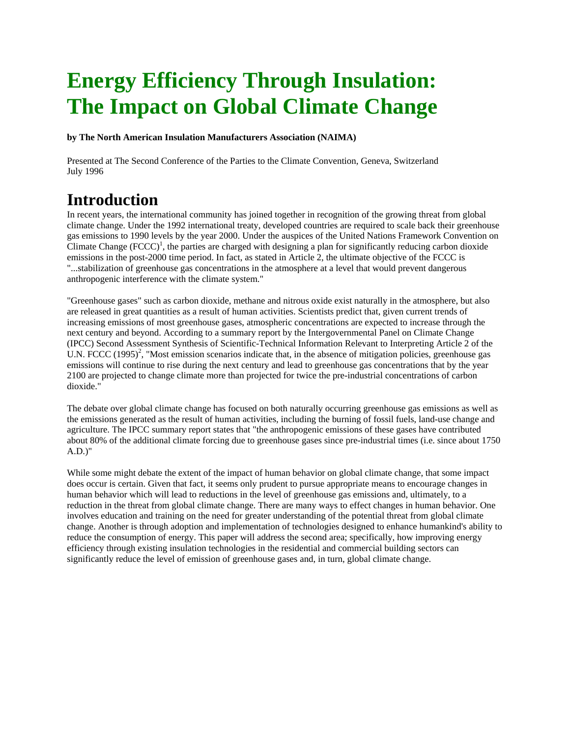# **Energy Efficiency Through Insulation: The Impact on Global Climate Change**

**by The North American Insulation Manufacturers Association (NAIMA)** 

Presented at The Second Conference of the Parties to the Climate Convention, Geneva, Switzerland July 1996

### **Introduction**

In recent years, the international community has joined together in recognition of the growing threat from global climate change. Under the 1992 international treaty, developed countries are required to scale back their greenhouse gas emissions to 1990 levels by the year 2000. Under the auspices of the United Nations Framework Convention on Climate Change  $(FCCC)^1$ , the parties are charged with designing a plan for significantly reducing carbon dioxide emissions in the post-2000 time period. In fact, as stated in Article 2, the ultimate objective of the FCCC is "...stabilization of greenhouse gas concentrations in the atmosphere at a level that would prevent dangerous anthropogenic interference with the climate system."

"Greenhouse gases" such as carbon dioxide, methane and nitrous oxide exist naturally in the atmosphere, but also are released in great quantities as a result of human activities. Scientists predict that, given current trends of increasing emissions of most greenhouse gases, atmospheric concentrations are expected to increase through the next century and beyond. According to a summary report by the Intergovernmental Panel on Climate Change (IPCC) Second Assessment Synthesis of Scientific-Technical Information Relevant to Interpreting Article 2 of the U.N. FCCC  $(1995)^2$ , "Most emission scenarios indicate that, in the absence of mitigation policies, greenhouse gas emissions will continue to rise during the next century and lead to greenhouse gas concentrations that by the year 2100 are projected to change climate more than projected for twice the pre-industrial concentrations of carbon dioxide."

The debate over global climate change has focused on both naturally occurring greenhouse gas emissions as well as the emissions generated as the result of human activities, including the burning of fossil fuels, land-use change and agriculture. The IPCC summary report states that "the anthropogenic emissions of these gases have contributed about 80% of the additional climate forcing due to greenhouse gases since pre-industrial times (i.e. since about 1750 A.D.)"

While some might debate the extent of the impact of human behavior on global climate change, that some impact does occur is certain. Given that fact, it seems only prudent to pursue appropriate means to encourage changes in human behavior which will lead to reductions in the level of greenhouse gas emissions and, ultimately, to a reduction in the threat from global climate change. There are many ways to effect changes in human behavior. One involves education and training on the need for greater understanding of the potential threat from global climate change. Another is through adoption and implementation of technologies designed to enhance humankind's ability to reduce the consumption of energy. This paper will address the second area; specifically, how improving energy efficiency through existing insulation technologies in the residential and commercial building sectors can significantly reduce the level of emission of greenhouse gases and, in turn, global climate change.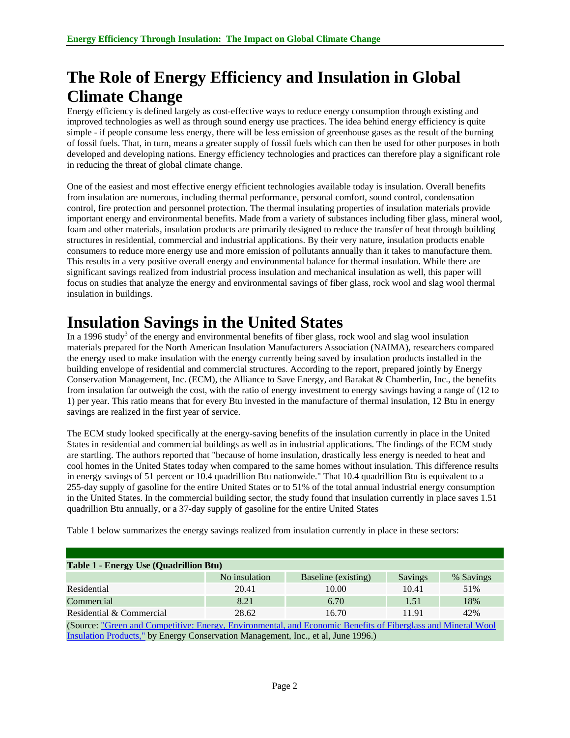## **The Role of Energy Efficiency and Insulation in Global Climate Change**

Energy efficiency is defined largely as cost-effective ways to reduce energy consumption through existing and improved technologies as well as through sound energy use practices. The idea behind energy efficiency is quite simple - if people consume less energy, there will be less emission of greenhouse gases as the result of the burning of fossil fuels. That, in turn, means a greater supply of fossil fuels which can then be used for other purposes in both developed and developing nations. Energy efficiency technologies and practices can therefore play a significant role in reducing the threat of global climate change.

One of the easiest and most effective energy efficient technologies available today is insulation. Overall benefits from insulation are numerous, including thermal performance, personal comfort, sound control, condensation control, fire protection and personnel protection. The thermal insulating properties of insulation materials provide important energy and environmental benefits. Made from a variety of substances including fiber glass, mineral wool, foam and other materials, insulation products are primarily designed to reduce the transfer of heat through building structures in residential, commercial and industrial applications. By their very nature, insulation products enable consumers to reduce more energy use and more emission of pollutants annually than it takes to manufacture them. This results in a very positive overall energy and environmental balance for thermal insulation. While there are significant savings realized from industrial process insulation and mechanical insulation as well, this paper will focus on studies that analyze the energy and environmental savings of fiber glass, rock wool and slag wool thermal insulation in buildings.

## **Insulation Savings in the United States**

In a 1996 study<sup>3</sup> of the energy and environmental benefits of fiber glass, rock wool and slag wool insulation materials prepared for the North American Insulation Manufacturers Association (NAIMA), researchers compared the energy used to make insulation with the energy currently being saved by insulation products installed in the building envelope of residential and commercial structures. According to the report, prepared jointly by Energy Conservation Management, Inc. (ECM), the Alliance to Save Energy, and Barakat & Chamberlin, Inc., the benefits from insulation far outweigh the cost, with the ratio of energy investment to energy savings having a range of (12 to 1) per year. This ratio means that for every Btu invested in the manufacture of thermal insulation, 12 Btu in energy savings are realized in the first year of service.

The ECM study looked specifically at the energy-saving benefits of the insulation currently in place in the United States in residential and commercial buildings as well as in industrial applications. The findings of the ECM study are startling. The authors reported that "because of home insulation, drastically less energy is needed to heat and cool homes in the United States today when compared to the same homes without insulation. This difference results in energy savings of 51 percent or 10.4 quadrillion Btu nationwide." That 10.4 quadrillion Btu is equivalent to a 255-day supply of gasoline for the entire United States or to 51% of the total annual industrial energy consumption in the United States. In the commercial building sector, the study found that insulation currently in place saves 1.51 quadrillion Btu annually, or a 37-day supply of gasoline for the entire United States

| <b>Table 1 - Energy Use (Quadrillion Btu)</b>                                                                |               |                     |                |           |  |  |  |
|--------------------------------------------------------------------------------------------------------------|---------------|---------------------|----------------|-----------|--|--|--|
|                                                                                                              | No insulation | Baseline (existing) | <b>Savings</b> | % Savings |  |  |  |
| Residential                                                                                                  | 20.41         | 10.00               | 10.41          | 51%       |  |  |  |
| Commercial                                                                                                   | 8.21          | 6.70                | 1.51           | 18%       |  |  |  |
| Residential & Commercial                                                                                     | 28.62         | 16.70               | 11.91          | 42%       |  |  |  |
| (Source: "Green and Competitive: Energy, Environmental, and Economic Benefits of Fiberglass and Mineral Wool |               |                     |                |           |  |  |  |
| Insulation Products," by Energy Conservation Management, Inc., et al, June 1996.)                            |               |                     |                |           |  |  |  |

Table 1 below summarizes the energy savings realized from insulation currently in place in these sectors: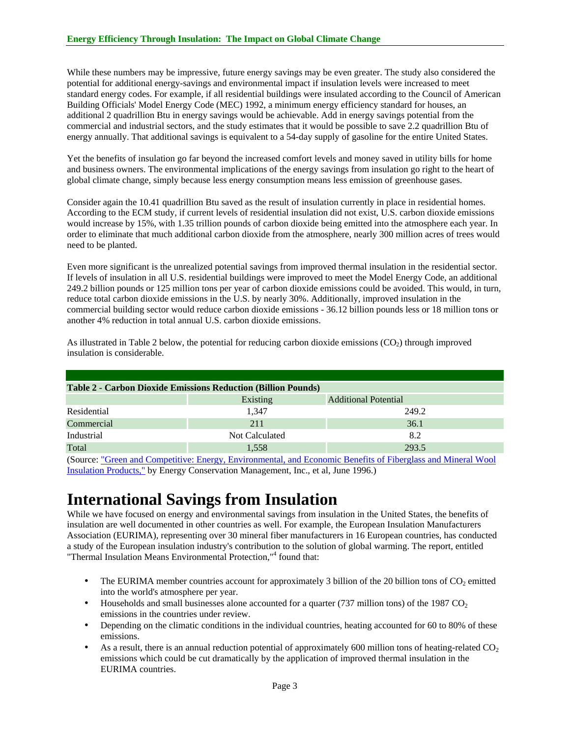While these numbers may be impressive, future energy savings may be even greater. The study also considered the potential for additional energy-savings and environmental impact if insulation levels were increased to meet standard energy codes. For example, if all residential buildings were insulated according to the Council of American Building Officials' Model Energy Code (MEC) 1992, a minimum energy efficiency standard for houses, an additional 2 quadrillion Btu in energy savings would be achievable. Add in energy savings potential from the commercial and industrial sectors, and the study estimates that it would be possible to save 2.2 quadrillion Btu of energy annually. That additional savings is equivalent to a 54-day supply of gasoline for the entire United States.

Yet the benefits of insulation go far beyond the increased comfort levels and money saved in utility bills for home and business owners. The environmental implications of the energy savings from insulation go right to the heart of global climate change, simply because less energy consumption means less emission of greenhouse gases.

Consider again the 10.41 quadrillion Btu saved as the result of insulation currently in place in residential homes. According to the ECM study, if current levels of residential insulation did not exist, U.S. carbon dioxide emissions would increase by 15%, with 1.35 trillion pounds of carbon dioxide being emitted into the atmosphere each year. In order to eliminate that much additional carbon dioxide from the atmosphere, nearly 300 million acres of trees would need to be planted.

Even more significant is the unrealized potential savings from improved thermal insulation in the residential sector. If levels of insulation in all U.S. residential buildings were improved to meet the Model Energy Code, an additional 249.2 billion pounds or 125 million tons per year of carbon dioxide emissions could be avoided. This would, in turn, reduce total carbon dioxide emissions in the U.S. by nearly 30%. Additionally, improved insulation in the commercial building sector would reduce carbon dioxide emissions - 36.12 billion pounds less or 18 million tons or another 4% reduction in total annual U.S. carbon dioxide emissions.

| <b>Table 2 - Carbon Dioxide Emissions Reduction (Billion Pounds)</b> |                |                             |  |  |  |  |  |
|----------------------------------------------------------------------|----------------|-----------------------------|--|--|--|--|--|
|                                                                      | Existing       | <b>Additional Potential</b> |  |  |  |  |  |
| Residential                                                          | 1.347          | 249.2                       |  |  |  |  |  |
| Commercial                                                           | 211            | 36.1                        |  |  |  |  |  |
| Industrial                                                           | Not Calculated | 8.2                         |  |  |  |  |  |
| Total                                                                | 1,558          | 293.5                       |  |  |  |  |  |

As illustrated in Table 2 below, the potential for reducing carbon dioxide emissions  $(CO<sub>2</sub>)$  through improved insulation is considerable.

(Source: "Green and Competitive: Energy, Environmental, and Economic Benefits of Fiberglass and Mineral Wool Insulation Products," by Energy Conservation Management, Inc., et al, June 1996.)

#### **International Savings from Insulation**

While we have focused on energy and environmental savings from insulation in the United States, the benefits of insulation are well documented in other countries as well. For example, the European Insulation Manufacturers Association (EURIMA), representing over 30 mineral fiber manufacturers in 16 European countries, has conducted a study of the European insulation industry's contribution to the solution of global warming. The report, entitled "Thermal Insulation Means Environmental Protection,"<sup>4</sup> found that:

- The EURIMA member countries account for approximately 3 billion of the 20 billion tons of  $CO<sub>2</sub>$  emitted into the world's atmosphere per year.
- Households and small businesses alone accounted for a quarter (737 million tons) of the 1987  $CO<sub>2</sub>$ emissions in the countries under review.
- Depending on the climatic conditions in the individual countries, heating accounted for 60 to 80% of these emissions.
- As a result, there is an annual reduction potential of approximately 600 million tons of heating-related  $CO<sub>2</sub>$ emissions which could be cut dramatically by the application of improved thermal insulation in the EURIMA countries.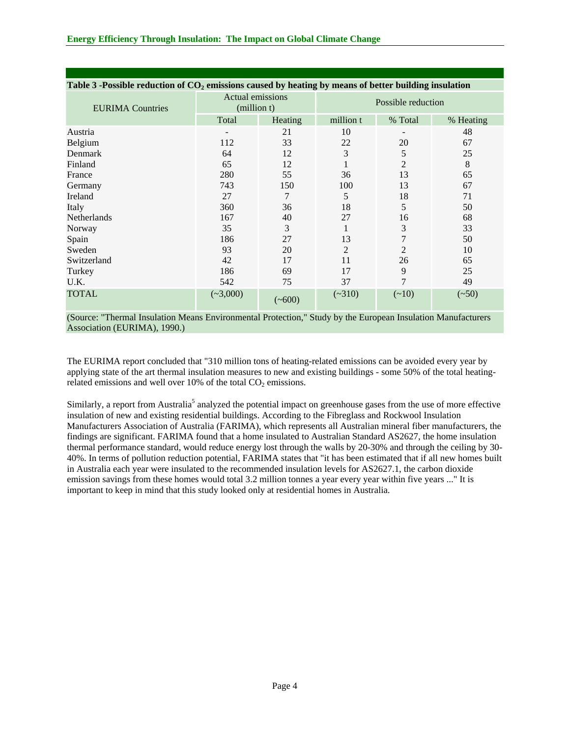| Table 3 -Possible reduction of $CO2$ emissions caused by heating by means of better building insulation |                                        |          |                    |                |           |  |  |  |
|---------------------------------------------------------------------------------------------------------|----------------------------------------|----------|--------------------|----------------|-----------|--|--|--|
| <b>EURIMA</b> Countries                                                                                 | <b>Actual emissions</b><br>(million t) |          | Possible reduction |                |           |  |  |  |
|                                                                                                         | Total                                  | Heating  | million t          | % Total        | % Heating |  |  |  |
| Austria                                                                                                 |                                        | 21       | 10                 |                | 48        |  |  |  |
| Belgium                                                                                                 | 112                                    | 33       | 22                 | 20             | 67        |  |  |  |
| Denmark                                                                                                 | 64                                     | 12       | 3                  | 5              | 25        |  |  |  |
| Finland                                                                                                 | 65                                     | 12       |                    | 2              | 8         |  |  |  |
| France                                                                                                  | 280                                    | 55       | 36                 | 13             | 65        |  |  |  |
| Germany                                                                                                 | 743                                    | 150      | 100                | 13             | 67        |  |  |  |
| Ireland                                                                                                 | 27                                     | 7        | 5                  | 18             | 71        |  |  |  |
| Italy                                                                                                   | 360                                    | 36       | 18                 | 5              | 50        |  |  |  |
| <b>Netherlands</b>                                                                                      | 167                                    | 40       | 27                 | 16             | 68        |  |  |  |
| Norway                                                                                                  | 35                                     | 3        | 1                  | 3              | 33        |  |  |  |
| Spain                                                                                                   | 186                                    | 27       | 13                 | 7              | 50        |  |  |  |
| Sweden                                                                                                  | 93                                     | 20       | 2                  | $\overline{2}$ | 10        |  |  |  |
| Switzerland                                                                                             | 42                                     | 17       | 11                 | 26             | 65        |  |  |  |
| Turkey                                                                                                  | 186                                    | 69       | 17                 | 9              | 25        |  |  |  |
| U.K.                                                                                                    | 542                                    | 75       | 37                 | 7              | 49        |  |  |  |
| <b>TOTAL</b>                                                                                            | $(*3,000)$                             | $(*600)$ | $(-310)$           | $(-10)$        | $(-50)$   |  |  |  |

(Source: "Thermal Insulation Means Environmental Protection," Study by the European Insulation Manufacturers Association (EURIMA), 1990.)

The EURIMA report concluded that "310 million tons of heating-related emissions can be avoided every year by applying state of the art thermal insulation measures to new and existing buildings - some 50% of the total heatingrelated emissions and well over 10% of the total  $CO<sub>2</sub>$  emissions.

Similarly, a report from Australia<sup>5</sup> analyzed the potential impact on greenhouse gases from the use of more effective insulation of new and existing residential buildings. According to the Fibreglass and Rockwool Insulation Manufacturers Association of Australia (FARIMA), which represents all Australian mineral fiber manufacturers, the findings are significant. FARIMA found that a home insulated to Australian Standard AS2627, the home insulation thermal performance standard, would reduce energy lost through the walls by 20-30% and through the ceiling by 30- 40%. In terms of pollution reduction potential, FARIMA states that "it has been estimated that if all new homes built in Australia each year were insulated to the recommended insulation levels for AS2627.1, the carbon dioxide emission savings from these homes would total 3.2 million tonnes a year every year within five years ..." It is important to keep in mind that this study looked only at residential homes in Australia.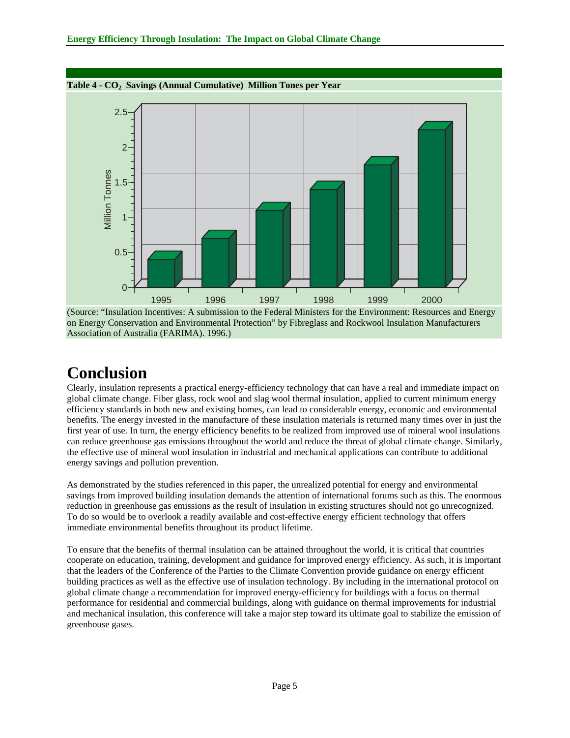

(Source: "Insulation Incentives: A submission to the Federal Ministers for the Environment: Resources and Energy on Energy Conservation and Environmental Protection" by Fibreglass and Rockwool Insulation Manufacturers Association of Australia (FARIMA). 1996.)

#### **Conclusion**

Clearly, insulation represents a practical energy-efficiency technology that can have a real and immediate impact on global climate change. Fiber glass, rock wool and slag wool thermal insulation, applied to current minimum energy efficiency standards in both new and existing homes, can lead to considerable energy, economic and environmental benefits. The energy invested in the manufacture of these insulation materials is returned many times over in just the first year of use. In turn, the energy efficiency benefits to be realized from improved use of mineral wool insulations can reduce greenhouse gas emissions throughout the world and reduce the threat of global climate change. Similarly, the effective use of mineral wool insulation in industrial and mechanical applications can contribute to additional energy savings and pollution prevention*.* 

As demonstrated by the studies referenced in this paper, the unrealized potential for energy and environmental savings from improved building insulation demands the attention of international forums such as this. The enormous reduction in greenhouse gas emissions as the result of insulation in existing structures should not go unrecognized. To do so would be to overlook a readily available and cost-effective energy efficient technology that offers immediate environmental benefits throughout its product lifetime.

To ensure that the benefits of thermal insulation can be attained throughout the world, it is critical that countries cooperate on education, training, development and guidance for improved energy efficiency. As such, it is important that the leaders of the Conference of the Parties to the Climate Convention provide guidance on energy efficient building practices as well as the effective use of insulation technology. By including in the international protocol on global climate change a recommendation for improved energy-efficiency for buildings with a focus on thermal performance for residential and commercial buildings, along with guidance on thermal improvements for industrial and mechanical insulation, this conference will take a major step toward its ultimate goal to stabilize the emission of greenhouse gases.